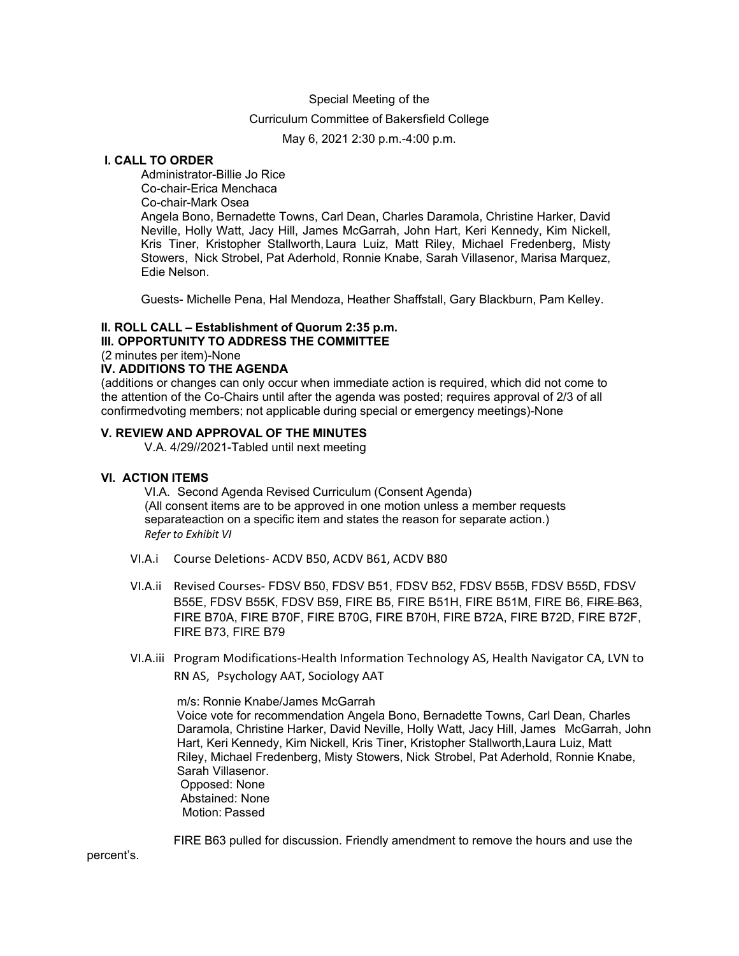#### Special Meeting of the

## Curriculum Committee of Bakersfield College

May 6, 2021 2:30 p.m.-4:00 p.m.

# **I. CALL TO ORDER**

Administrator-Billie Jo Rice Co-chair-Erica Menchaca Co-chair-Mark Osea Angela Bono, Bernadette Towns, Carl Dean, Charles Daramola, Christine Harker, David Neville, Holly Watt, Jacy Hill, James McGarrah, John Hart, Keri Kennedy, Kim Nickell, Kris Tiner, Kristopher Stallworth, Laura Luiz, Matt Riley, Michael Fredenberg, Misty Stowers, Nick Strobel, Pat Aderhold, Ronnie Knabe, Sarah Villasenor, Marisa Marquez, Edie Nelson.

Guests- Michelle Pena, Hal Mendoza, Heather Shaffstall, Gary Blackburn, Pam Kelley.

### **II. ROLL CALL – Establishment of Quorum 2:35 p.m.**

**III. OPPORTUNITY TO ADDRESS THE COMMITTEE**

(2 minutes per item)-None

#### **IV. ADDITIONS TO THE AGENDA**

(additions or changes can only occur when immediate action is required, which did not come to the attention of the Co-Chairs until after the agenda was posted; requires approval of 2/3 of all confirmedvoting members; not applicable during special or emergency meetings)-None

### **V. REVIEW AND APPROVAL OF THE MINUTES**

V.A. 4/29//2021-Tabled until next meeting

#### **VI. ACTION ITEMS**

VI.A. Second Agenda Revised Curriculum (Consent Agenda) (All consent items are to be approved in one motion unless a member requests separateaction on a specific item and states the reason for separate action.) *Refer to Exhibit VI*

- VI.A.i Course Deletions- ACDV B50, ACDV B61, ACDV B80
- VI.A.ii Revised Courses- FDSV B50, FDSV B51, FDSV B52, FDSV B55B, FDSV B55D, FDSV B55E, FDSV B55K, FDSV B59, FIRE B5, FIRE B51H, FIRE B51M, FIRE B6, FIRE B63, FIRE B70A, FIRE B70F, FIRE B70G, FIRE B70H, FIRE B72A, FIRE B72D, FIRE B72F, FIRE B73, FIRE B79
- VI.A.iii Program Modifications-Health Information Technology AS, Health Navigator CA, LVN to RN AS, Psychology AAT, Sociology AAT

m/s: Ronnie Knabe/James McGarrah Voice vote for recommendation Angela Bono, Bernadette Towns, Carl Dean, Charles Daramola, Christine Harker, David Neville, Holly Watt, Jacy Hill, James McGarrah, John Hart, Keri Kennedy, Kim Nickell, Kris Tiner, Kristopher Stallworth,Laura Luiz, Matt Riley, Michael Fredenberg, Misty Stowers, Nick Strobel, Pat Aderhold, Ronnie Knabe, Sarah Villasenor. Opposed: None Abstained: None Motion: Passed

FIRE B63 pulled for discussion. Friendly amendment to remove the hours and use the

percent's.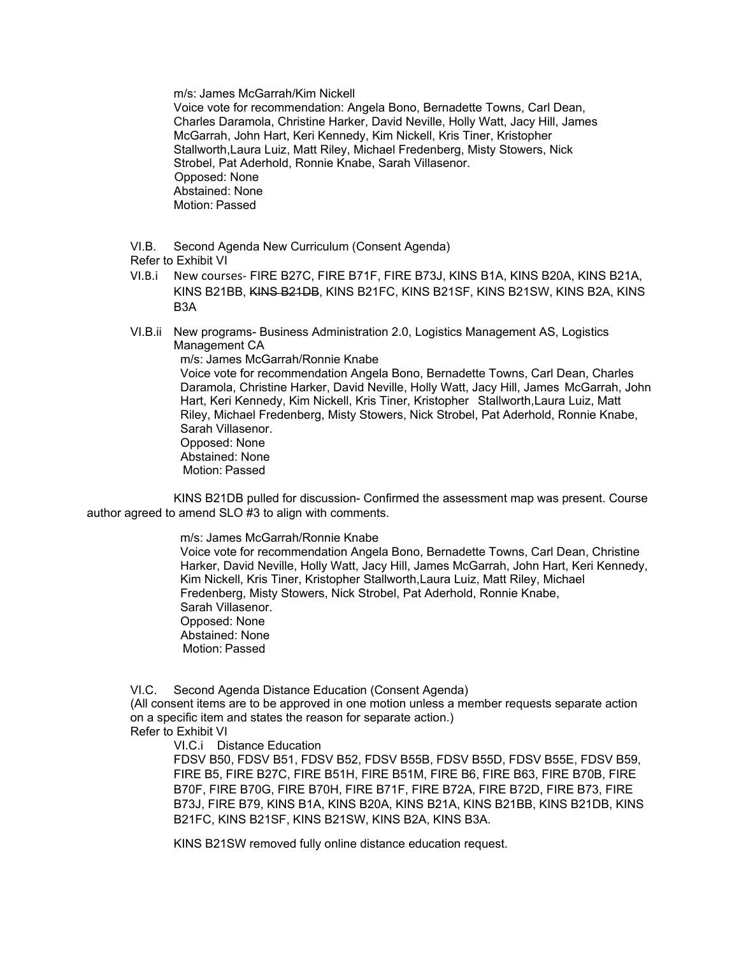m/s: James McGarrah/Kim Nickell

Voice vote for recommendation: Angela Bono, Bernadette Towns, Carl Dean, Charles Daramola, Christine Harker, David Neville, Holly Watt, Jacy Hill, James McGarrah, John Hart, Keri Kennedy, Kim Nickell, Kris Tiner, Kristopher Stallworth,Laura Luiz, Matt Riley, Michael Fredenberg, Misty Stowers, Nick Strobel, Pat Aderhold, Ronnie Knabe, Sarah Villasenor. Opposed: None Abstained: None Motion: Passed

VI.B. Second Agenda New Curriculum (Consent Agenda)

Refer to Exhibit VI

- VI.B.i New courses- FIRE B27C, FIRE B71F, FIRE B73J, KINS B1A, KINS B20A, KINS B21A, KINS B21BB, KINS B21DB, KINS B21FC, KINS B21SF, KINS B21SW, KINS B2A, KINS B3A
- VI.B.ii New programs- Business Administration 2.0, Logistics Management AS, Logistics Management CA

 m/s: James McGarrah/Ronnie Knabe Voice vote for recommendation Angela Bono, Bernadette Towns, Carl Dean, Charles Daramola, Christine Harker, David Neville, Holly Watt, Jacy Hill, James McGarrah, John

 Hart, Keri Kennedy, Kim Nickell, Kris Tiner, Kristopher Stallworth,Laura Luiz, Matt Riley, Michael Fredenberg, Misty Stowers, Nick Strobel, Pat Aderhold, Ronnie Knabe, Sarah Villasenor. Opposed: None

 Abstained: None Motion: Passed

KINS B21DB pulled for discussion- Confirmed the assessment map was present. Course author agreed to amend SLO #3 to align with comments.

m/s: James McGarrah/Ronnie Knabe

 Voice vote for recommendation Angela Bono, Bernadette Towns, Carl Dean, Christine Harker, David Neville, Holly Watt, Jacy Hill, James McGarrah, John Hart, Keri Kennedy, Kim Nickell, Kris Tiner, Kristopher Stallworth,Laura Luiz, Matt Riley, Michael Fredenberg, Misty Stowers, Nick Strobel, Pat Aderhold, Ronnie Knabe, Sarah Villasenor. Opposed: None Abstained: None Motion: Passed

VI.C. Second Agenda Distance Education (Consent Agenda) (All consent items are to be approved in one motion unless a member requests separate action on a specific item and states the reason for separate action.) Refer to Exhibit VI

VI.C.i Distance Education

FDSV B50, FDSV B51, FDSV B52, FDSV B55B, FDSV B55D, FDSV B55E, FDSV B59, FIRE B5, FIRE B27C, FIRE B51H, FIRE B51M, FIRE B6, FIRE B63, FIRE B70B, FIRE B70F, FIRE B70G, FIRE B70H, FIRE B71F, FIRE B72A, FIRE B72D, FIRE B73, FIRE B73J, FIRE B79, KINS B1A, KINS B20A, KINS B21A, KINS B21BB, KINS B21DB, KINS B21FC, KINS B21SF, KINS B21SW, KINS B2A, KINS B3A.

KINS B21SW removed fully online distance education request.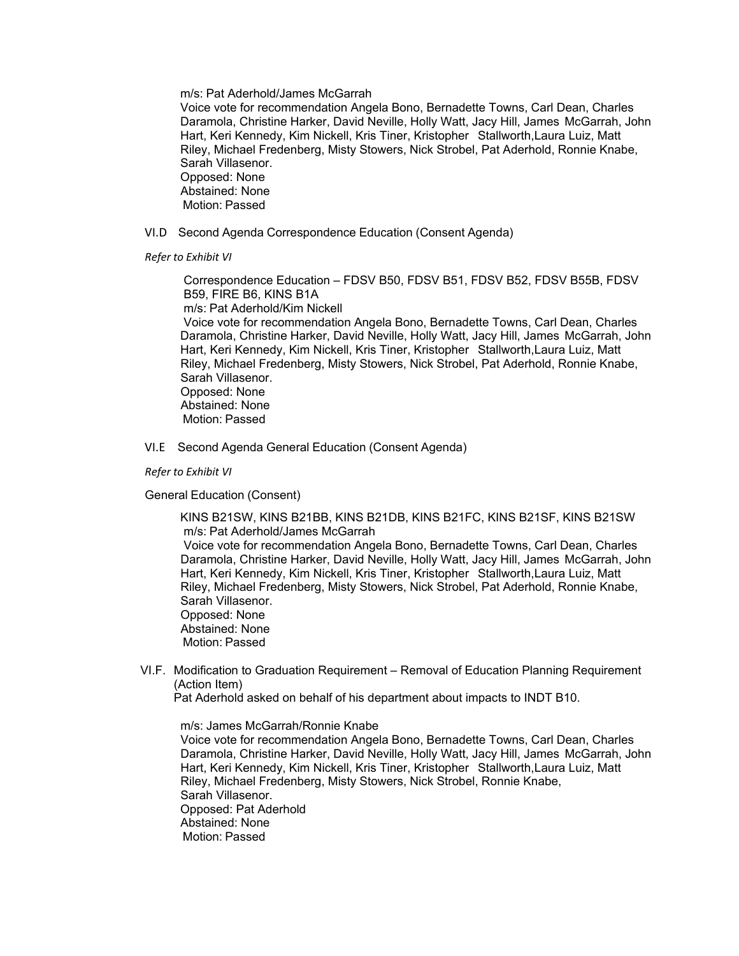m/s: Pat Aderhold/James McGarrah

 Voice vote for recommendation Angela Bono, Bernadette Towns, Carl Dean, Charles Daramola, Christine Harker, David Neville, Holly Watt, Jacy Hill, James McGarrah, John Hart, Keri Kennedy, Kim Nickell, Kris Tiner, Kristopher Stallworth,Laura Luiz, Matt Riley, Michael Fredenberg, Misty Stowers, Nick Strobel, Pat Aderhold, Ronnie Knabe, Sarah Villasenor. Opposed: None Abstained: None

Motion: Passed

VI.D Second Agenda Correspondence Education (Consent Agenda)

*Refer to Exhibit VI*

 Correspondence Education – FDSV B50, FDSV B51, FDSV B52, FDSV B55B, FDSV B59, FIRE B6, KINS B1A m/s: Pat Aderhold/Kim Nickell

 Voice vote for recommendation Angela Bono, Bernadette Towns, Carl Dean, Charles Daramola, Christine Harker, David Neville, Holly Watt, Jacy Hill, James McGarrah, John Hart, Keri Kennedy, Kim Nickell, Kris Tiner, Kristopher Stallworth,Laura Luiz, Matt Riley, Michael Fredenberg, Misty Stowers, Nick Strobel, Pat Aderhold, Ronnie Knabe, Sarah Villasenor. Opposed: None Abstained: None

Motion: Passed

VI.E Second Agenda General Education (Consent Agenda)

*Refer to Exhibit VI*

General Education (Consent)

 KINS B21SW, KINS B21BB, KINS B21DB, KINS B21FC, KINS B21SF, KINS B21SW m/s: Pat Aderhold/James McGarrah

 Voice vote for recommendation Angela Bono, Bernadette Towns, Carl Dean, Charles Daramola, Christine Harker, David Neville, Holly Watt, Jacy Hill, James McGarrah, John Hart, Keri Kennedy, Kim Nickell, Kris Tiner, Kristopher Stallworth,Laura Luiz, Matt Riley, Michael Fredenberg, Misty Stowers, Nick Strobel, Pat Aderhold, Ronnie Knabe, Sarah Villasenor. Opposed: None

 Abstained: None Motion: Passed

- 
- VI.F. Modification to Graduation Requirement Removal of Education Planning Requirement (Action Item)

Pat Aderhold asked on behalf of his department about impacts to INDT B10.

m/s: James McGarrah/Ronnie Knabe

 Voice vote for recommendation Angela Bono, Bernadette Towns, Carl Dean, Charles Daramola, Christine Harker, David Neville, Holly Watt, Jacy Hill, James McGarrah, John Hart, Keri Kennedy, Kim Nickell, Kris Tiner, Kristopher Stallworth,Laura Luiz, Matt Riley, Michael Fredenberg, Misty Stowers, Nick Strobel, Ronnie Knabe, Sarah Villasenor. Opposed: Pat Aderhold Abstained: None Motion: Passed